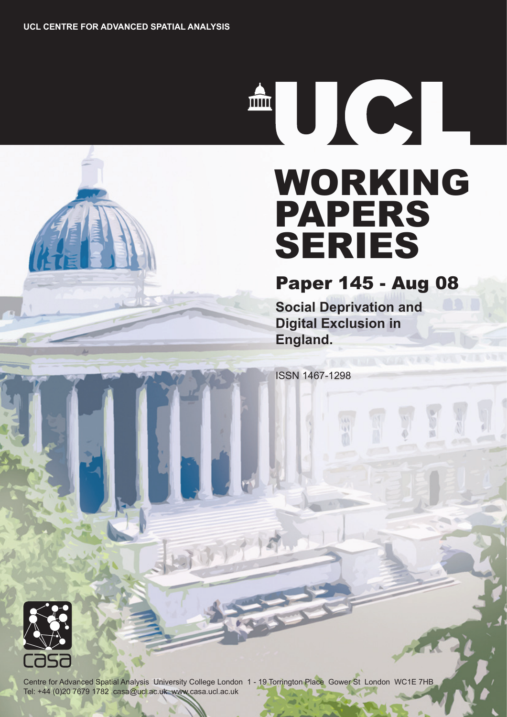TO CI

# WORKING PAPERS SERIES

# Paper 145 - Aug 08

**Social Deprivation and Digital Exclusion in England.**

ISSN 1467-1298



Centre for Advanced Spatial Analysis University College London 1 - 19 Torrington Place Gower St London WC1E 7HB Tel: +44 (0)20 7679 1782 casa@ucl.ac.uk www.casa.ucl.ac.uk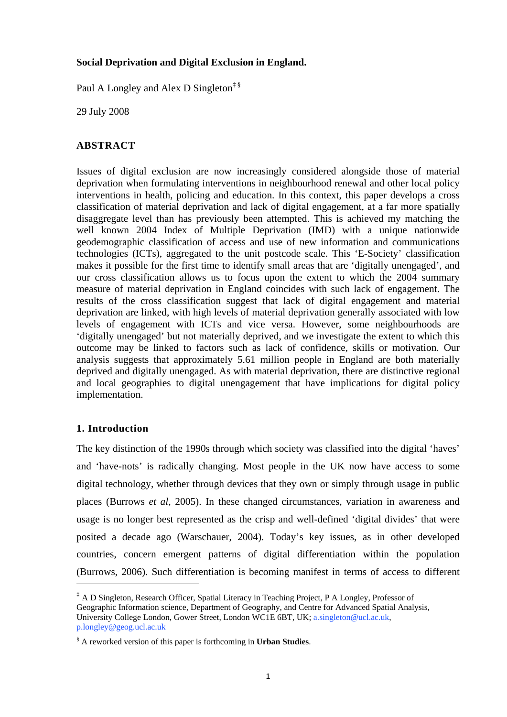## **Social Deprivation and Digital Exclusion in England.**

Paul A Longley and Alex D Singleton<sup>‡§</sup>

29 July 2008

# **ABSTRACT**

Issues of digital exclusion are now increasingly considered alongside those of material deprivation when formulating interventions in neighbourhood renewal and other local policy interventions in health, policing and education. In this context, this paper develops a cross classification of material deprivation and lack of digital engagement, at a far more spatially disaggregate level than has previously been attempted. This is achieved my matching the well known 2004 Index of Multiple Deprivation (IMD) with a unique nationwide geodemographic classification of access and use of new information and communications technologies (ICTs), aggregated to the unit postcode scale. This 'E-Society' classification makes it possible for the first time to identify small areas that are 'digitally unengaged', and our cross classification allows us to focus upon the extent to which the 2004 summary measure of material deprivation in England coincides with such lack of engagement. The results of the cross classification suggest that lack of digital engagement and material deprivation are linked, with high levels of material deprivation generally associated with low levels of engagement with ICTs and vice versa. However, some neighbourhoods are 'digitally unengaged' but not materially deprived, and we investigate the extent to which this outcome may be linked to factors such as lack of confidence, skills or motivation. Our analysis suggests that approximately 5.61 million people in England are both materially deprived and digitally unengaged. As with material deprivation, there are distinctive regional and local geographies to digital unengagement that have implications for digital policy implementation.

# **1. Introduction**

l

The key distinction of the 1990s through which society was classified into the digital 'haves' and 'have-nots' is radically changing. Most people in the UK now have access to some digital technology, whether through devices that they own or simply through usage in public places (Burrows *et al*, 2005). In these changed circumstances, variation in awareness and usage is no longer best represented as the crisp and well-defined 'digital divides' that were posited a decade ago (Warschauer, 2004). Today's key issues, as in other developed countries, concern emergent patterns of digital differentiation within the population (Burrows, 2006). Such differentiation is becoming manifest in terms of access to different

<span id="page-1-0"></span><sup>‡</sup> A D Singleton, Research Officer, Spatial Literacy in Teaching Project, P A Longley, Professor of Geographic Information science, Department of Geography, and Centre for Advanced Spatial Analysis, University College London, Gower Street, London WC1E 6BT, UK; a.singleton@ucl.ac.uk, p.longley@geog.ucl.ac.uk

<sup>§</sup> A reworked version of this paper is forthcoming in **Urban Studies**.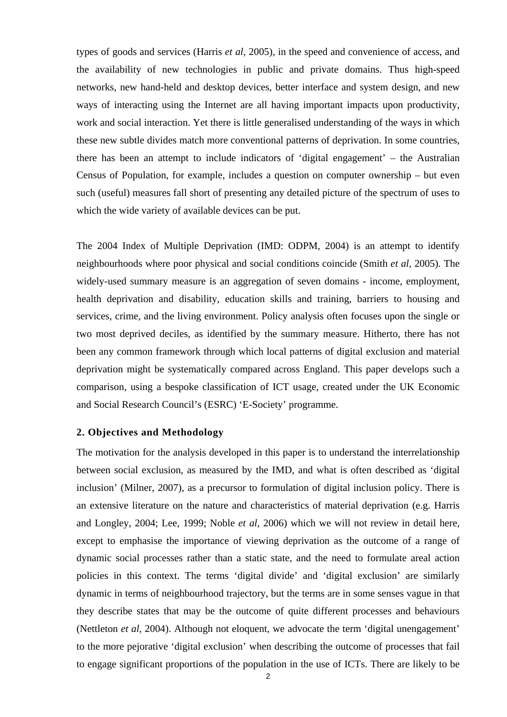types of goods and services (Harris *et al*, 2005), in the speed and convenience of access, and the availability of new technologies in public and private domains. Thus high-speed networks, new hand-held and desktop devices, better interface and system design, and new ways of interacting using the Internet are all having important impacts upon productivity, work and social interaction. Yet there is little generalised understanding of the ways in which these new subtle divides match more conventional patterns of deprivation. In some countries, there has been an attempt to include indicators of 'digital engagement' – the Australian Census of Population, for example, includes a question on computer ownership – but even such (useful) measures fall short of presenting any detailed picture of the spectrum of uses to which the wide variety of available devices can be put.

The 2004 Index of Multiple Deprivation (IMD: ODPM, 2004) is an attempt to identify neighbourhoods where poor physical and social conditions coincide (Smith *et al,* 2005). The widely-used summary measure is an aggregation of seven domains - income, employment, health deprivation and disability, education skills and training, barriers to housing and services, crime, and the living environment. Policy analysis often focuses upon the single or two most deprived deciles, as identified by the summary measure. Hitherto, there has not been any common framework through which local patterns of digital exclusion and material deprivation might be systematically compared across England. This paper develops such a comparison, using a bespoke classification of ICT usage, created under the UK Economic and Social Research Council's (ESRC) 'E-Society' programme.

#### **2. Objectives and Methodology**

The motivation for the analysis developed in this paper is to understand the interrelationship between social exclusion, as measured by the IMD, and what is often described as 'digital inclusion' (Milner, 2007), as a precursor to formulation of digital inclusion policy. There is an extensive literature on the nature and characteristics of material deprivation (e.g. Harris and Longley, 2004; Lee, 1999; Noble *et al,* 2006) which we will not review in detail here, except to emphasise the importance of viewing deprivation as the outcome of a range of dynamic social processes rather than a static state, and the need to formulate areal action policies in this context. The terms 'digital divide' and 'digital exclusion' are similarly dynamic in terms of neighbourhood trajectory, but the terms are in some senses vague in that they describe states that may be the outcome of quite different processes and behaviours (Nettleton *et al,* 2004). Although not eloquent, we advocate the term 'digital unengagement' to the more pejorative 'digital exclusion' when describing the outcome of processes that fail to engage significant proportions of the population in the use of ICTs. There are likely to be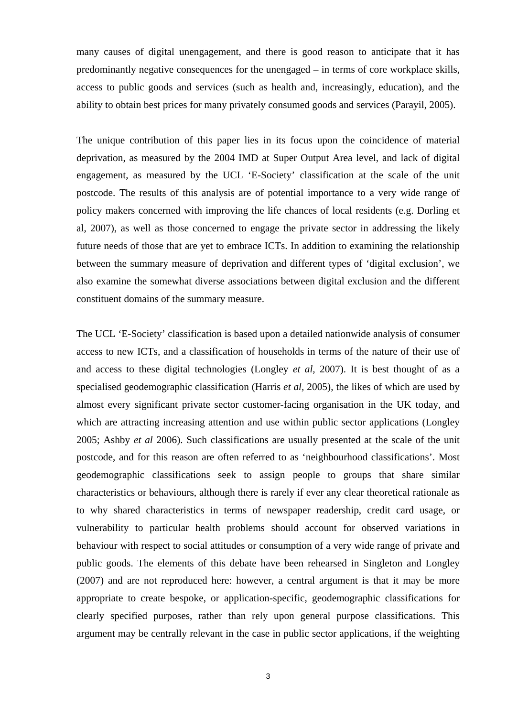many causes of digital unengagement, and there is good reason to anticipate that it has predominantly negative consequences for the unengaged – in terms of core workplace skills, access to public goods and services (such as health and, increasingly, education), and the ability to obtain best prices for many privately consumed goods and services (Parayil, 2005).

The unique contribution of this paper lies in its focus upon the coincidence of material deprivation, as measured by the 2004 IMD at Super Output Area level, and lack of digital engagement, as measured by the UCL 'E-Society' classification at the scale of the unit postcode. The results of this analysis are of potential importance to a very wide range of policy makers concerned with improving the life chances of local residents (e.g. Dorling et al, 2007), as well as those concerned to engage the private sector in addressing the likely future needs of those that are yet to embrace ICTs. In addition to examining the relationship between the summary measure of deprivation and different types of 'digital exclusion', we also examine the somewhat diverse associations between digital exclusion and the different constituent domains of the summary measure.

The UCL 'E-Society' classification is based upon a detailed nationwide analysis of consumer access to new ICTs, and a classification of households in terms of the nature of their use of and access to these digital technologies (Longley *et al,* 2007). It is best thought of as a specialised geodemographic classification (Harris *et al,* 2005), the likes of which are used by almost every significant private sector customer-facing organisation in the UK today, and which are attracting increasing attention and use within public sector applications (Longley 2005; Ashby *et al* 2006). Such classifications are usually presented at the scale of the unit postcode, and for this reason are often referred to as 'neighbourhood classifications'. Most geodemographic classifications seek to assign people to groups that share similar characteristics or behaviours, although there is rarely if ever any clear theoretical rationale as to why shared characteristics in terms of newspaper readership, credit card usage, or vulnerability to particular health problems should account for observed variations in behaviour with respect to social attitudes or consumption of a very wide range of private and public goods. The elements of this debate have been rehearsed in Singleton and Longley (2007) and are not reproduced here: however, a central argument is that it may be more appropriate to create bespoke, or application-specific, geodemographic classifications for clearly specified purposes, rather than rely upon general purpose classifications. This argument may be centrally relevant in the case in public sector applications, if the weighting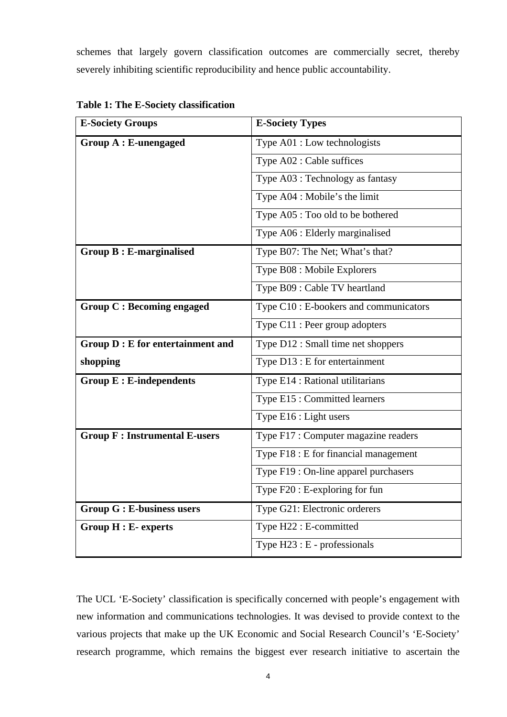schemes that largely govern classification outcomes are commercially secret, thereby severely inhibiting scientific reproducibility and hence public accountability.

| <b>E-Society Groups</b>                 | <b>E-Society Types</b>                 |  |  |  |  |
|-----------------------------------------|----------------------------------------|--|--|--|--|
| <b>Group A: E-unengaged</b>             | Type A01 : Low technologists           |  |  |  |  |
|                                         | Type A02 : Cable suffices              |  |  |  |  |
|                                         | Type A03 : Technology as fantasy       |  |  |  |  |
|                                         | Type A04 : Mobile's the limit          |  |  |  |  |
|                                         | Type A05 : Too old to be bothered      |  |  |  |  |
|                                         | Type A06 : Elderly marginalised        |  |  |  |  |
| <b>Group B: E-marginalised</b>          | Type B07: The Net; What's that?        |  |  |  |  |
|                                         | Type B08 : Mobile Explorers            |  |  |  |  |
|                                         | Type B09 : Cable TV heartland          |  |  |  |  |
| <b>Group C: Becoming engaged</b>        | Type C10 : E-bookers and communicators |  |  |  |  |
|                                         | Type C11 : Peer group adopters         |  |  |  |  |
| <b>Group D: E for entertainment and</b> | Type D12 : Small time net shoppers     |  |  |  |  |
| shopping                                | Type $D13 : E$ for entertainment       |  |  |  |  |
| <b>Group E: E-independents</b>          | Type E14 : Rational utilitarians       |  |  |  |  |
|                                         | Type E15 : Committed learners          |  |  |  |  |
|                                         | Type E16 : Light users                 |  |  |  |  |
| <b>Group F: Instrumental E-users</b>    | Type F17 : Computer magazine readers   |  |  |  |  |
|                                         | Type F18 : E for financial management  |  |  |  |  |
|                                         | Type F19 : On-line apparel purchasers  |  |  |  |  |
|                                         | Type F20 : E-exploring for fun         |  |  |  |  |
| <b>Group G: E-business users</b>        | Type G21: Electronic orderers          |  |  |  |  |
| <b>Group H: E- experts</b>              | Type H22 : E-committed                 |  |  |  |  |
|                                         | Type $H23 : E$ - professionals         |  |  |  |  |

**Table 1: The E-Society classification** 

The UCL 'E-Society' classification is specifically concerned with people's engagement with new information and communications technologies. It was devised to provide context to the various projects that make up the UK Economic and Social Research Council's 'E-Society' research programme, which remains the biggest ever research initiative to ascertain the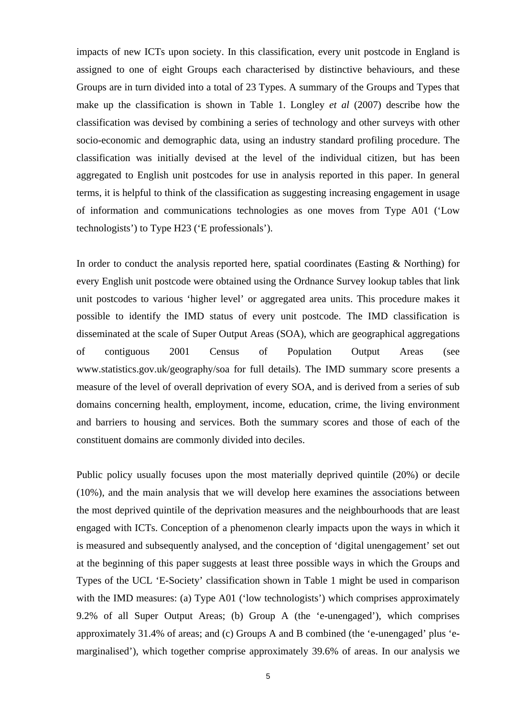impacts of new ICTs upon society. In this classification, every unit postcode in England is assigned to one of eight Groups each characterised by distinctive behaviours, and these Groups are in turn divided into a total of 23 Types. A summary of the Groups and Types that make up the classification is shown in Table 1. Longley *et al* (2007) describe how the classification was devised by combining a series of technology and other surveys with other socio-economic and demographic data, using an industry standard profiling procedure. The classification was initially devised at the level of the individual citizen, but has been aggregated to English unit postcodes for use in analysis reported in this paper. In general terms, it is helpful to think of the classification as suggesting increasing engagement in usage of information and communications technologies as one moves from Type A01 ('Low technologists') to Type H23 ('E professionals').

In order to conduct the analysis reported here, spatial coordinates (Easting  $\&$  Northing) for every English unit postcode were obtained using the Ordnance Survey lookup tables that link unit postcodes to various 'higher level' or aggregated area units. This procedure makes it possible to identify the IMD status of every unit postcode. The IMD classification is disseminated at the scale of Super Output Areas (SOA), which are geographical aggregations of contiguous 2001 Census of Population Output Areas (see www.statistics.gov.uk/geography/soa for full details). The IMD summary score presents a measure of the level of overall deprivation of every SOA, and is derived from a series of sub domains concerning health, employment, income, education, crime, the living environment and barriers to housing and services. Both the summary scores and those of each of the constituent domains are commonly divided into deciles.

Public policy usually focuses upon the most materially deprived quintile (20%) or decile (10%), and the main analysis that we will develop here examines the associations between the most deprived quintile of the deprivation measures and the neighbourhoods that are least engaged with ICTs. Conception of a phenomenon clearly impacts upon the ways in which it is measured and subsequently analysed, and the conception of 'digital unengagement' set out at the beginning of this paper suggests at least three possible ways in which the Groups and Types of the UCL 'E-Society' classification shown in Table 1 might be used in comparison with the IMD measures: (a) Type A01 ('low technologists') which comprises approximately 9.2% of all Super Output Areas; (b) Group A (the 'e-unengaged'), which comprises approximately 31.4% of areas; and (c) Groups A and B combined (the 'e-unengaged' plus 'emarginalised'), which together comprise approximately 39.6% of areas. In our analysis we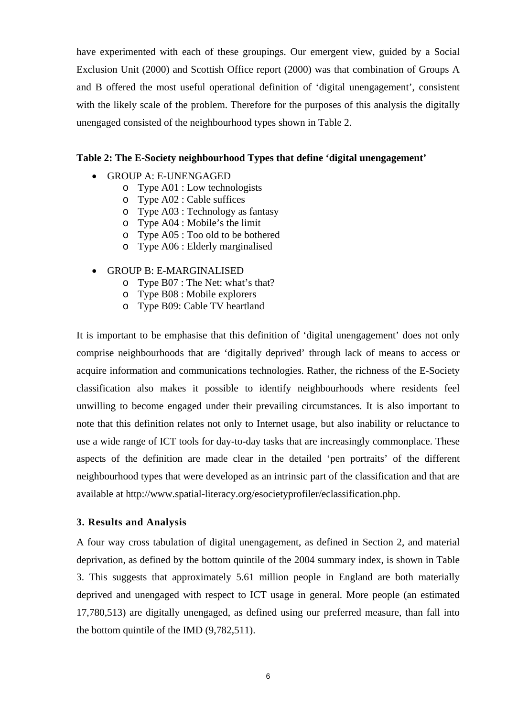have experimented with each of these groupings. Our emergent view, guided by a Social Exclusion Unit (2000) and Scottish Office report (2000) was that combination of Groups A and B offered the most useful operational definition of 'digital unengagement', consistent with the likely scale of the problem. Therefore for the purposes of this analysis the digitally unengaged consisted of the neighbourhood types shown in Table 2.

#### **Table 2: The E-Society neighbourhood Types that define 'digital unengagement'**

- GROUP A: E-UNENGAGED
	- o Type A01 : Low technologists
	- o Type A02 : Cable suffices
	- o Type A03 : Technology as fantasy
	- o Type A04 : Mobile's the limit
	- o Type A05 : Too old to be bothered
	- o Type A06 : Elderly marginalised
- GROUP B: E-MARGINALISED
	- o Type B07 : The Net: what's that?
	- o Type B08 : Mobile explorers
	- o Type B09: Cable TV heartland

It is important to be emphasise that this definition of 'digital unengagement' does not only comprise neighbourhoods that are 'digitally deprived' through lack of means to access or acquire information and communications technologies. Rather, the richness of the E-Society classification also makes it possible to identify neighbourhoods where residents feel unwilling to become engaged under their prevailing circumstances. It is also important to note that this definition relates not only to Internet usage, but also inability or reluctance to use a wide range of ICT tools for day-to-day tasks that are increasingly commonplace. These aspects of the definition are made clear in the detailed 'pen portraits' of the different neighbourhood types that were developed as an intrinsic part of the classification and that are available at http://www.spatial-literacy.org/esocietyprofiler/eclassification.php.

#### **3. Results and Analysis**

A four way cross tabulation of digital unengagement, as defined in Section 2, and material deprivation, as defined by the bottom quintile of the 2004 summary index, is shown in Table 3. This suggests that approximately 5.61 million people in England are both materially deprived and unengaged with respect to ICT usage in general. More people (an estimated 17,780,513) are digitally unengaged, as defined using our preferred measure, than fall into the bottom quintile of the IMD (9,782,511).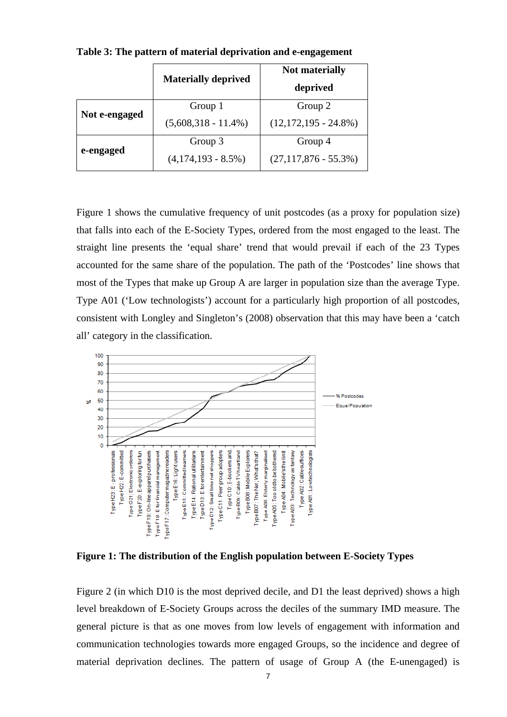|               | <b>Materially deprived</b> | <b>Not materially</b>    |  |  |  |
|---------------|----------------------------|--------------------------|--|--|--|
|               |                            | deprived                 |  |  |  |
| Not e-engaged | Group 1                    | Group 2                  |  |  |  |
|               | $(5,608,318 - 11.4\%)$     | $(12,172,195 - 24.8\%)$  |  |  |  |
| e-engaged     | Group 3                    | Group 4                  |  |  |  |
|               | $(4,174,193 - 8.5\%)$      | $(27, 117, 876 - 55.3%)$ |  |  |  |

**Table 3: The pattern of material deprivation and e-engagement** 

Figure 1 shows the cumulative frequency of unit postcodes (as a proxy for population size) that falls into each of the E-Society Types, ordered from the most engaged to the least. The straight line presents the 'equal share' trend that would prevail if each of the 23 Types accounted for the same share of the population. The path of the 'Postcodes' line shows that most of the Types that make up Group A are larger in population size than the average Type. Type A01 ('Low technologists') account for a particularly high proportion of all postcodes, consistent with Longley and Singleton's (2008) observation that this may have been a 'catch all' category in the classification.



**Figure 1: The distribution of the English population between E-Society Types** 

Figure 2 (in which D10 is the most deprived decile, and D1 the least deprived) shows a high level breakdown of E-Society Groups across the deciles of the summary IMD measure. The general picture is that as one moves from low levels of engagement with information and communication technologies towards more engaged Groups, so the incidence and degree of material deprivation declines. The pattern of usage of Group A (the E-unengaged) is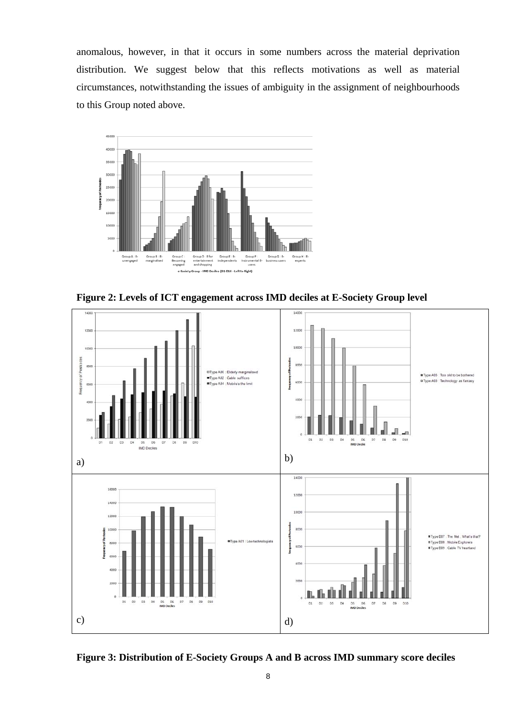anomalous, however, in that it occurs in some numbers across the material deprivation distribution. We suggest below that this reflects motivations as well as material circumstances, notwithstanding the issues of ambiguity in the assignment of neighbourhoods to this Group noted above.



**Figure 2: Levels of ICT engagement across IMD deciles at E-Society Group level** 



**Figure 3: Distribution of E-Society Groups A and B across IMD summary score deciles**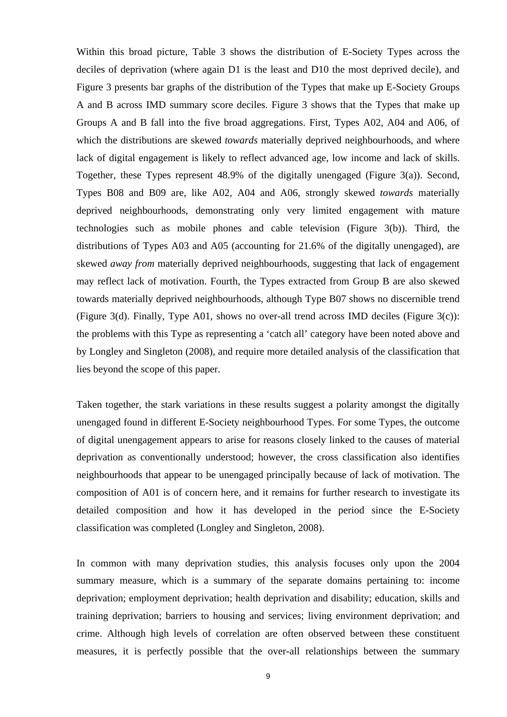Within this broad picture, Table 3 shows the distribution of E-Society Types across the deciles of deprivation (where again D1 is the least and D10 the most deprived decile), and Figure 3 presents bar graphs of the distribution of the Types that make up E-Society Groups A and B across IMD summary score deciles. Figure 3 shows that the Types that make up Groups A and B fall into the five broad aggregations. First, Types A02, A04 and A06, of which the distributions are skewed *towards* materially deprived neighbourhoods, and where lack of digital engagement is likely to reflect advanced age, low income and lack of skills. Together, these Types represent 48.9% of the digitally unengaged (Figure 3(a)). Second, Types B08 and B09 are, like A02, A04 and A06, strongly skewed *towards* materially deprived neighbourhoods, demonstrating only very limited engagement with mature technologies such as mobile phones and cable television (Figure 3(b)). Third, the distributions of Types A03 and A05 (accounting for 21.6% of the digitally unengaged), are skewed *away from* materially deprived neighbourhoods, suggesting that lack of engagement may reflect lack of motivation. Fourth, the Types extracted from Group B are also skewed towards materially deprived neighbourhoods, although Type B07 shows no discernible trend (Figure 3(d). Finally, Type A01, shows no over-all trend across IMD deciles (Figure 3(c)): the problems with this Type as representing a 'catch all' category have been noted above and by Longley and Singleton (2008), and require more detailed analysis of the classification that lies beyond the scope of this paper.

Taken together, the stark variations in these results suggest a polarity amongst the digitally unengaged found in different E-Society neighbourhood Types. For some Types, the outcome of digital unengagement appears to arise for reasons closely linked to the causes of material deprivation as conventionally understood; however, the cross classification also identifies neighbourhoods that appear to be unengaged principally because of lack of motivation. The composition of A01 is of concern here, and it remains for further research to investigate its detailed composition and how it has developed in the period since the E-Society classification was completed (Longley and Singleton, 2008).

In common with many deprivation studies, this analysis focuses only upon the 2004 summary measure, which is a summary of the separate domains pertaining to: income deprivation; employment deprivation; health deprivation and disability; education, skills and training deprivation; barriers to housing and services; living environment deprivation; and crime. Although high levels of correlation are often observed between these constituent measures, it is perfectly possible that the over-all relationships between the summary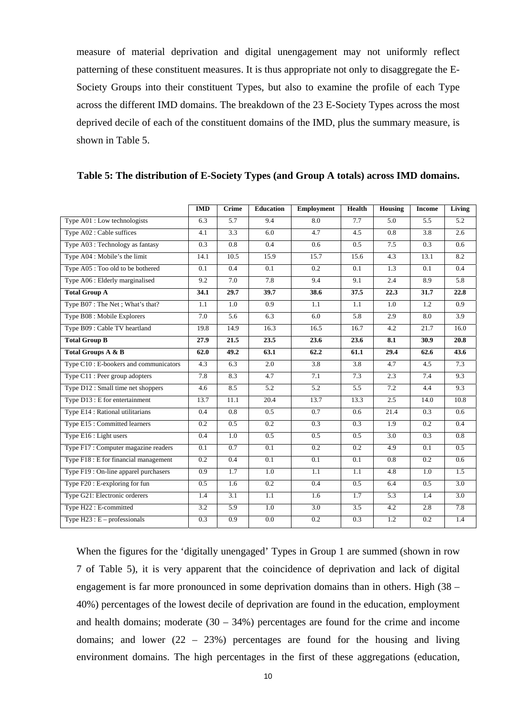measure of material deprivation and digital unengagement may not uniformly reflect patterning of these constituent measures. It is thus appropriate not only to disaggregate the E-Society Groups into their constituent Types, but also to examine the profile of each Type across the different IMD domains. The breakdown of the 23 E-Society Types across the most deprived decile of each of the constituent domains of the IMD, plus the summary measure, is shown in Table 5.

|                                        | <b>IMD</b> | <b>Crime</b> | <b>Education</b> | <b>Employment</b> | Health | <b>Housing</b> | <b>Income</b> | Living |
|----------------------------------------|------------|--------------|------------------|-------------------|--------|----------------|---------------|--------|
| Type A01 : Low technologists           | 6.3        | 5.7          | 9.4              | 8.0               | 7.7    | 5.0            | 5.5           | 5.2    |
| Type A02 : Cable suffices              | 4.1        | 3.3          | 6.0              | 4.7               | 4.5    | 0.8            | 3.8           | 2.6    |
| Type A03 : Technology as fantasy       | 0.3        | 0.8          | 0.4              | 0.6               | 0.5    | 7.5            | 0.3           | 0.6    |
| Type A04 : Mobile's the limit          | 14.1       | 10.5         | 15.9             | 15.7              | 15.6   | 4.3            | 13.1          | 8.2    |
| Type A05: Too old to be bothered       | 0.1        | 0.4          | 0.1              | 0.2               | 0.1    | 1.3            | 0.1           | 0.4    |
| Type A06 : Elderly marginalised        | 9.2        | 7.0          | 7.8              | 9.4               | 9.1    | 2.4            | 8.9           | 5.8    |
| <b>Total Group A</b>                   | 34.1       | 29.7         | 39.7             | 38.6              | 37.5   | 22.3           | 31.7          | 22.8   |
| Type B07: The Net; What's that?        | 1.1        | 1.0          | 0.9              | 1.1               | 1.1    | 1.0            | 1.2           | 0.9    |
| Type B08 : Mobile Explorers            | 7.0        | 5.6          | 6.3              | 6.0               | 5.8    | 2.9            | 8.0           | 3.9    |
| Type B09 : Cable TV heartland          | 19.8       | 14.9         | 16.3             | 16.5              | 16.7   | 4.2            | 21.7          | 16.0   |
| <b>Total Group B</b>                   | 27.9       | 21.5         | 23.5             | 23.6              | 23.6   | 8.1            | 30.9          | 20.8   |
| Total Groups A & B                     | 62.0       | 49.2         | 63.1             | 62.2              | 61.1   | 29.4           | 62.6          | 43.6   |
| Type C10 : E-bookers and communicators | 4.3        | 6.3          | 2.0              | 3.8               | 3.8    | 4.7            | 4.5           | 7.3    |
| Type C11 : Peer group adopters         | 7.8        | 8.3          | 4.7              | 7.1               | 7.3    | 2.3            | 7.4           | 9.3    |
| Type D12 : Small time net shoppers     | 4.6        | 8.5          | 5.2              | 5.2               | 5.5    | 7.2            | 4.4           | 9.3    |
| Type D13 : E for entertainment         | 13.7       | 11.1         | 20.4             | 13.7              | 13.3   | 2.5            | 14.0          | 10.8   |
| Type E14 : Rational utilitarians       | 0.4        | 0.8          | 0.5              | 0.7               | 0.6    | 21.4           | 0.3           | 0.6    |
| Type E15 : Committed learners          | 0.2        | 0.5          | 0.2              | 0.3               | 0.3    | 1.9            | 0.2           | 0.4    |
| Type E16 : Light users                 | 0.4        | 1.0          | $\overline{0.5}$ | 0.5               | 0.5    | 3.0            | 0.3           | 0.8    |
| Type F17 : Computer magazine readers   | 0.1        | 0.7          | 0.1              | 0.2               | 0.2    | 4.9            | 0.1           | 0.5    |
| Type F18 : E for financial management  | 0.2        | 0.4          | 0.1              | 0.1               | 0.1    | 0.8            | 0.2           | 0.6    |
| Type F19 : On-line apparel purchasers  | 0.9        | 1.7          | 1.0              | 1.1               | 1.1    | 4.8            | 1.0           | 1.5    |
| Type F20 : E-exploring for fun         | 0.5        | 1.6          | 0.2              | 0.4               | 0.5    | 6.4            | 0.5           | 3.0    |
| Type G21: Electronic orderers          | 1.4        | 3.1          | 1.1              | 1.6               | 1.7    | 5.3            | 1.4           | 3.0    |
| Type H22 : E-committed                 | $3.2\,$    | 5.9          | 1.0              | 3.0               | 3.5    | 4.2            | 2.8           | 7.8    |
| Type $H23 : E$ – professionals         | 0.3        | 0.9          | 0.0              | 0.2               | 0.3    | 1.2            | 0.2           | 1.4    |

**Table 5: The distribution of E-Society Types (and Group A totals) across IMD domains.** 

When the figures for the 'digitally unengaged' Types in Group 1 are summed (shown in row 7 of Table 5), it is very apparent that the coincidence of deprivation and lack of digital engagement is far more pronounced in some deprivation domains than in others. High (38 – 40%) percentages of the lowest decile of deprivation are found in the education, employment and health domains; moderate  $(30 - 34%)$  percentages are found for the crime and income domains; and lower  $(22 - 23%)$  percentages are found for the housing and living environment domains. The high percentages in the first of these aggregations (education,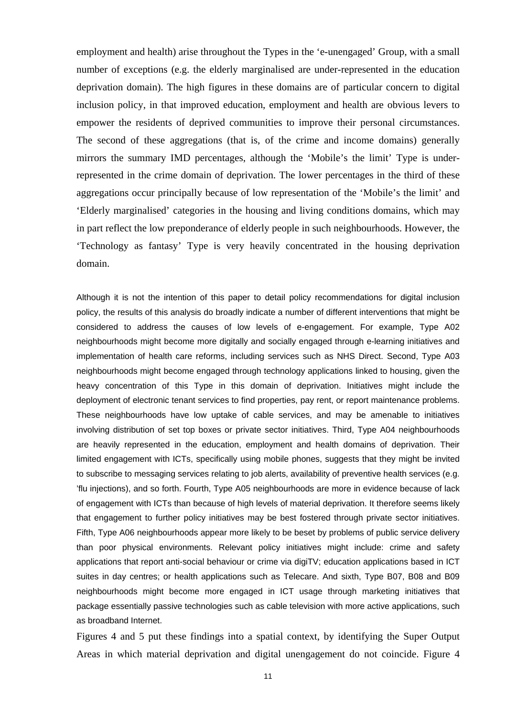employment and health) arise throughout the Types in the 'e-unengaged' Group, with a small number of exceptions (e.g. the elderly marginalised are under-represented in the education deprivation domain). The high figures in these domains are of particular concern to digital inclusion policy, in that improved education, employment and health are obvious levers to empower the residents of deprived communities to improve their personal circumstances. The second of these aggregations (that is, of the crime and income domains) generally mirrors the summary IMD percentages, although the 'Mobile's the limit' Type is underrepresented in the crime domain of deprivation. The lower percentages in the third of these aggregations occur principally because of low representation of the 'Mobile's the limit' and 'Elderly marginalised' categories in the housing and living conditions domains, which may in part reflect the low preponderance of elderly people in such neighbourhoods. However, the 'Technology as fantasy' Type is very heavily concentrated in the housing deprivation domain.

Although it is not the intention of this paper to detail policy recommendations for digital inclusion policy, the results of this analysis do broadly indicate a number of different interventions that might be considered to address the causes of low levels of e-engagement. For example, Type A02 neighbourhoods might become more digitally and socially engaged through e-learning initiatives and implementation of health care reforms, including services such as NHS Direct. Second, Type A03 neighbourhoods might become engaged through technology applications linked to housing, given the heavy concentration of this Type in this domain of deprivation. Initiatives might include the deployment of electronic tenant services to find properties, pay rent, or report maintenance problems. These neighbourhoods have low uptake of cable services, and may be amenable to initiatives involving distribution of set top boxes or private sector initiatives. Third, Type A04 neighbourhoods are heavily represented in the education, employment and health domains of deprivation. Their limited engagement with ICTs, specifically using mobile phones, suggests that they might be invited to subscribe to messaging services relating to job alerts, availability of preventive health services (e.g. 'flu injections), and so forth. Fourth, Type A05 neighbourhoods are more in evidence because of lack of engagement with ICTs than because of high levels of material deprivation. It therefore seems likely that engagement to further policy initiatives may be best fostered through private sector initiatives. Fifth, Type A06 neighbourhoods appear more likely to be beset by problems of public service delivery than poor physical environments. Relevant policy initiatives might include: crime and safety applications that report anti-social behaviour or crime via digiTV; education applications based in ICT suites in day centres; or health applications such as Telecare. And sixth, Type B07, B08 and B09 neighbourhoods might become more engaged in ICT usage through marketing initiatives that package essentially passive technologies such as cable television with more active applications, such as broadband Internet.

Figures 4 and 5 put these findings into a spatial context, by identifying the Super Output Areas in which material deprivation and digital unengagement do not coincide. Figure 4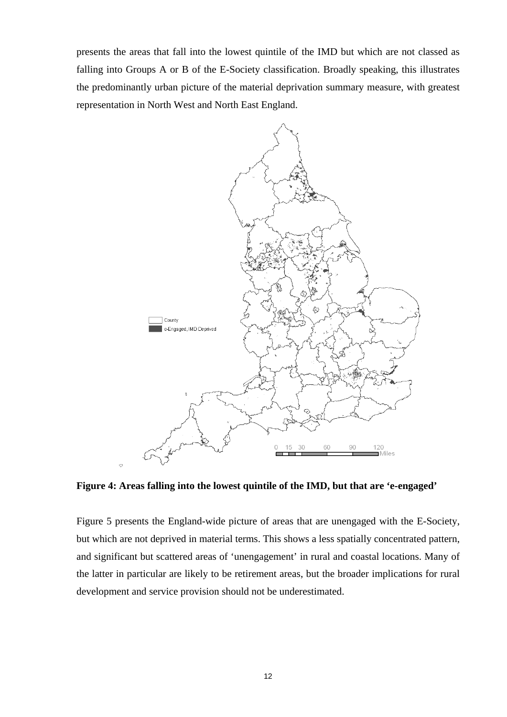presents the areas that fall into the lowest quintile of the IMD but which are not classed as falling into Groups A or B of the E-Society classification. Broadly speaking, this illustrates the predominantly urban picture of the material deprivation summary measure, with greatest representation in North West and North East England.



**Figure 4: Areas falling into the lowest quintile of the IMD, but that are 'e-engaged'** 

Figure 5 presents the England-wide picture of areas that are unengaged with the E-Society, but which are not deprived in material terms. This shows a less spatially concentrated pattern, and significant but scattered areas of 'unengagement' in rural and coastal locations. Many of the latter in particular are likely to be retirement areas, but the broader implications for rural development and service provision should not be underestimated.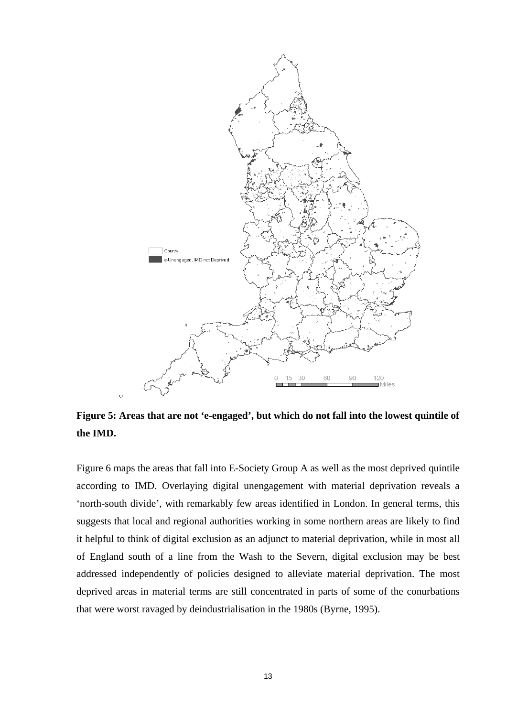

**Figure 5: Areas that are not 'e-engaged', but which do not fall into the lowest quintile of the IMD.** 

Figure 6 maps the areas that fall into E-Society Group A as well as the most deprived quintile according to IMD. Overlaying digital unengagement with material deprivation reveals a 'north-south divide', with remarkably few areas identified in London. In general terms, this suggests that local and regional authorities working in some northern areas are likely to find it helpful to think of digital exclusion as an adjunct to material deprivation, while in most all of England south of a line from the Wash to the Severn, digital exclusion may be best addressed independently of policies designed to alleviate material deprivation. The most deprived areas in material terms are still concentrated in parts of some of the conurbations that were worst ravaged by deindustrialisation in the 1980s (Byrne, 1995).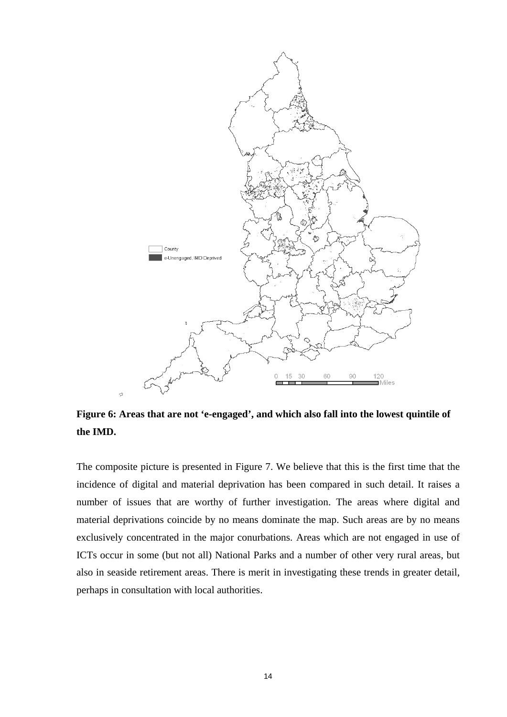

**Figure 6: Areas that are not 'e-engaged', and which also fall into the lowest quintile of the IMD.** 

The composite picture is presented in Figure 7. We believe that this is the first time that the incidence of digital and material deprivation has been compared in such detail. It raises a number of issues that are worthy of further investigation. The areas where digital and material deprivations coincide by no means dominate the map. Such areas are by no means exclusively concentrated in the major conurbations. Areas which are not engaged in use of ICTs occur in some (but not all) National Parks and a number of other very rural areas, but also in seaside retirement areas. There is merit in investigating these trends in greater detail, perhaps in consultation with local authorities.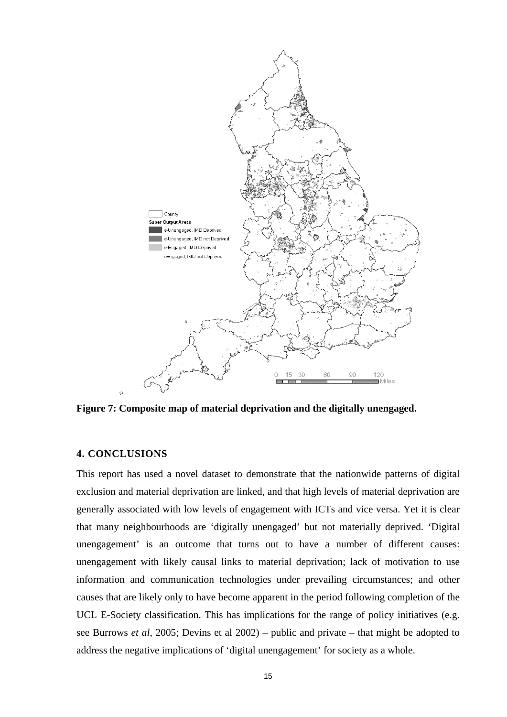

**Figure 7: Composite map of material deprivation and the digitally unengaged.** 

# **4. CONCLUSIONS**

This report has used a novel dataset to demonstrate that the nationwide patterns of digital exclusion and material deprivation are linked, and that high levels of material deprivation are generally associated with low levels of engagement with ICTs and vice versa. Yet it is clear that many neighbourhoods are 'digitally unengaged' but not materially deprived. 'Digital unengagement' is an outcome that turns out to have a number of different causes: unengagement with likely causal links to material deprivation; lack of motivation to use information and communication technologies under prevailing circumstances; and other causes that are likely only to have become apparent in the period following completion of the UCL E-Society classification. This has implications for the range of policy initiatives (e.g. see Burrows *et al*, 2005; Devins et al 2002) – public and private – that might be adopted to address the negative implications of 'digital unengagement' for society as a whole.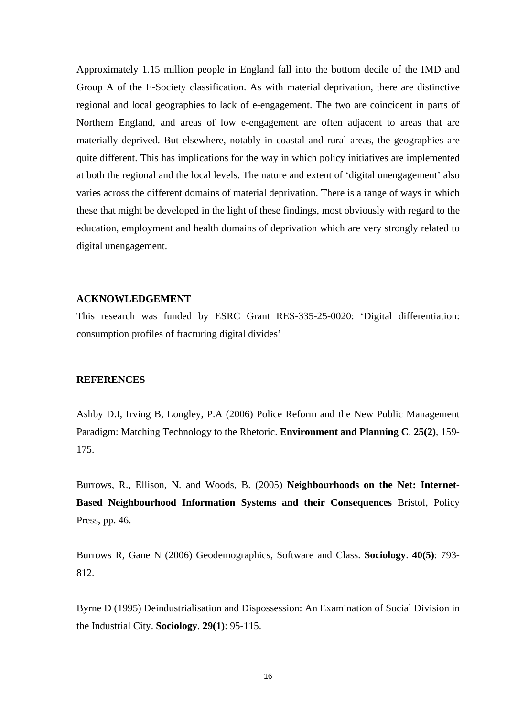Approximately 1.15 million people in England fall into the bottom decile of the IMD and Group A of the E-Society classification. As with material deprivation, there are distinctive regional and local geographies to lack of e-engagement. The two are coincident in parts of Northern England, and areas of low e-engagement are often adjacent to areas that are materially deprived. But elsewhere, notably in coastal and rural areas, the geographies are quite different. This has implications for the way in which policy initiatives are implemented at both the regional and the local levels. The nature and extent of 'digital unengagement' also varies across the different domains of material deprivation. There is a range of ways in which these that might be developed in the light of these findings, most obviously with regard to the education, employment and health domains of deprivation which are very strongly related to digital unengagement.

#### **ACKNOWLEDGEMENT**

This research was funded by ESRC Grant RES-335-25-0020: 'Digital differentiation: consumption profiles of fracturing digital divides'

#### **REFERENCES**

Ashby D.I, Irving B, Longley, P.A (2006) Police Reform and the New Public Management Paradigm: Matching Technology to the Rhetoric. **Environment and Planning C**. **25(2)**, 159- 175.

Burrows, R., Ellison, N. and Woods, B. (2005) **Neighbourhoods on the Net: Internet-Based Neighbourhood Information Systems and their Consequences** Bristol, Policy Press, pp. 46.

Burrows R, Gane N (2006) Geodemographics, Software and Class. **Sociology**. **40(5)**: 793- 812.

Byrne D (1995) Deindustrialisation and Dispossession: An Examination of Social Division in the Industrial City. **Sociology**. **29(1)**: 95-115.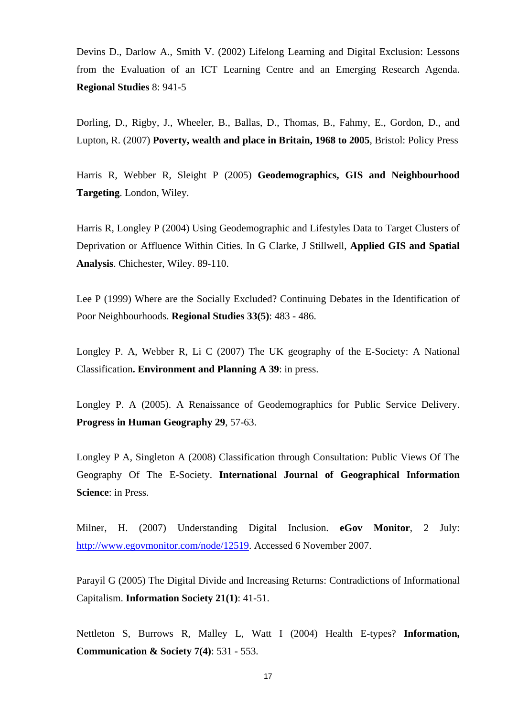Devins D., Darlow A., Smith V. (2002) Lifelong Learning and Digital Exclusion: Lessons from the Evaluation of an ICT Learning Centre and an Emerging Research Agenda. **Regional Studies** 8: 941-5

Dorling, D., Rigby, J., Wheeler, B., Ballas, D., Thomas, B., Fahmy, E., Gordon, D., and Lupton, R. (2007) **Poverty, wealth and place in Britain, 1968 to 2005**, Bristol: Policy Press

Harris R, Webber R, Sleight P (2005) **Geodemographics, GIS and Neighbourhood Targeting**. London, Wiley.

Harris R, Longley P (2004) Using Geodemographic and Lifestyles Data to Target Clusters of Deprivation or Affluence Within Cities. In G Clarke, J Stillwell, **Applied GIS and Spatial Analysis**. Chichester, Wiley. 89-110.

Lee P (1999) Where are the Socially Excluded? Continuing Debates in the Identification of Poor Neighbourhoods. **Regional Studies 33(5)**: 483 - 486.

Longley P. A, Webber R, Li C (2007) The UK geography of the E-Society: A National Classification**. Environment and Planning A 39**: in press.

Longley P. A (2005). A Renaissance of Geodemographics for Public Service Delivery. **Progress in Human Geography 29**, 57-63.

Longley P A, Singleton A (2008) Classification through Consultation: Public Views Of The Geography Of The E-Society. **International Journal of Geographical Information Science**: in Press.

Milner, H. (2007) Understanding Digital Inclusion. **eGov Monitor**, 2 July: [http://www.egovmonitor.com/node/12519.](http://www.egovmonitor.com/node/12519) Accessed 6 November 2007.

Parayil G (2005) The Digital Divide and Increasing Returns: Contradictions of Informational Capitalism. **Information Society 21(1)**: 41-51.

Nettleton S, Burrows R, Malley L, Watt I (2004) Health E-types? **Information, Communication & Society 7(4)**: 531 - 553.